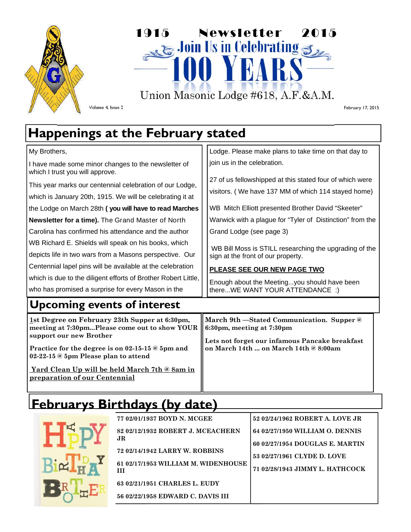



Volume 4, Issue 2

February 17, 2015

# **Happenings at the February stated**

| My Brothers,                                                                                                                                                                                                                                                                                                                                                                                                                                                                                                                                           | Lodge. Please make plans to take time on that day to                                                                                                                                                                                                                                                                                                                                          |  |  |  |
|--------------------------------------------------------------------------------------------------------------------------------------------------------------------------------------------------------------------------------------------------------------------------------------------------------------------------------------------------------------------------------------------------------------------------------------------------------------------------------------------------------------------------------------------------------|-----------------------------------------------------------------------------------------------------------------------------------------------------------------------------------------------------------------------------------------------------------------------------------------------------------------------------------------------------------------------------------------------|--|--|--|
| I have made some minor changes to the newsletter of<br>which I trust you will approve.                                                                                                                                                                                                                                                                                                                                                                                                                                                                 | join us in the celebration.                                                                                                                                                                                                                                                                                                                                                                   |  |  |  |
| This year marks our centennial celebration of our Lodge,<br>which is January 20th, 1915. We will be celebrating it at<br>the Lodge on March 28th (you will have to read Marches<br><b>Newsletter for a time).</b> The Grand Master of North<br>Carolina has confirmed his attendance and the author<br>WB Richard E. Shields will speak on his books, which<br>depicts life in two wars from a Masons perspective. Our<br>Centennial lapel pins will be available at the celebration<br>which is due to the diligent efforts of Brother Robert Little, | 27 of us fellowshipped at this stated four of which were<br>visitors. (We have 137 MM of which 114 stayed home)<br>WB Mitch Elliott presented Brother David "Skeeter"<br>Warwick with a plague for "Tyler of Distinction" from the<br>Grand Lodge (see page 3)<br>WB Bill Moss is STILL researching the upgrading of the<br>sign at the front of our property.<br>PLEASE SEE OUR NEW PAGE TWO |  |  |  |
| who has promised a surprise for every Mason in the                                                                                                                                                                                                                                                                                                                                                                                                                                                                                                     | Enough about the Meetingyou should have been<br>thereWE WANT YOUR ATTENDANCE :)                                                                                                                                                                                                                                                                                                               |  |  |  |
| <b>Upcoming events of interest</b>                                                                                                                                                                                                                                                                                                                                                                                                                                                                                                                     |                                                                                                                                                                                                                                                                                                                                                                                               |  |  |  |
| 1st Degree on February 23th Supper at 6:30pm,<br>meeting at 7:30pmPlease come out to show YOUR<br>support our new Brother<br>Practice for the degree is on 02-15-15 $\&$ 5pm and<br>02-22-15 @ 5pm Please plan to attend<br>Yard Clean Up will be held March 7th @ 8am in                                                                                                                                                                                                                                                                              | March 9th -Stated Communication. Supper @<br>6:30pm, meeting at 7:30pm<br>Lets not forget our infamous Pancake breakfast<br>on March 14th  on March 14th @ 8:00am                                                                                                                                                                                                                             |  |  |  |

**preparation of our Centennial** 

## **Februarys Birthdays (by date)**



| 77 02/01/1937 BOYD N. MCGEE              | 52 02/24/1962 ROBERT A. LOVE JR |
|------------------------------------------|---------------------------------|
| 82 02/12/1932 ROBERT J. MCEACHERN        | 64 02/27/1950 WILLIAM O. DENNIS |
| JR.                                      | 60 02/27/1954 DOUGLAS E. MARTIN |
| <b>72 02/14/1942 LARRY W. ROBBINS</b>    | 53 02/27/1961 CLYDE D. LOVE     |
| 61 02/17/1953 WILLIAM M. WIDENHOUSE<br>ш | 71 02/28/1943 JIMMY L. HATHCOCK |
| 63 02/21/1951 CHARLES L. EUDY            |                                 |
| 56 02/22/1958 EDWARD C. DAVIS III        |                                 |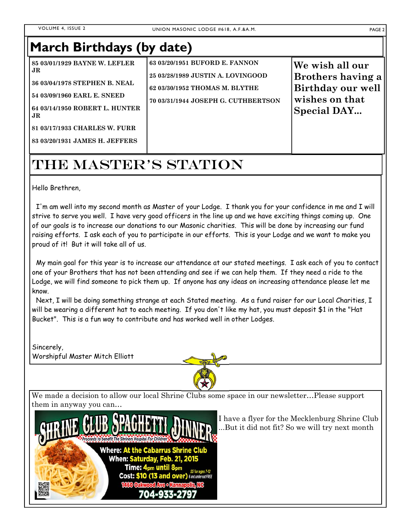### **March Birthdays (by date)**

| 85 03/01/1929 BAYNE W. LEFLER          | 63 03/20/1951 BUFORD E. FANNON             | We wish all our   |
|----------------------------------------|--------------------------------------------|-------------------|
| l JR                                   | 25 03/28/1989 JUSTIN A. LOVINGOOD          | Brothers having a |
| 36 03/04/1978 STEPHEN B. NEAL          | 62 03/30/1952 THOMAS M. BLYTHE             | Birthday our well |
| 54 03/09/1960 EARL E. SNEED            | <b>70 03/31/1944 JOSEPH G. CUTHBERTSON</b> | wishes on that    |
| 64 03/14/1950 ROBERT L. HUNTER<br>l JR |                                            | Special DAY       |
| <b>81 03/17/1933 CHARLES W. FURR</b>   |                                            |                   |
| 83 03/20/1931 JAMES H. JEFFERS         |                                            |                   |
|                                        |                                            |                   |

# The Master's Station

Hello Brethren,

 I'm am well into my second month as Master of your Lodge. I thank you for your confidence in me and I will strive to serve you well. I have very good officers in the line up and we have exciting things coming up. One of our goals is to increase our donations to our Masonic charities. This will be done by increasing our fund raising efforts. I ask each of you to participate in our efforts. This is your Lodge and we want to make you proud of it! But it will take all of us.

 My main goal for this year is to increase our attendance at our stated meetings. I ask each of you to contact one of your Brothers that has not been attending and see if we can help them. If they need a ride to the Lodge, we will find someone to pick them up. If anyone has any ideas on increasing attendance please let me know.

 Next, I will be doing something strange at each Stated meeting. As a fund raiser for our Local Charities, I will be wearing a different hat to each meeting. If you don't like my hat, you must deposit \$1 in the "Hat Bucket". This is a fun way to contribute and has worked well in other Lodges.

Sincerely, Worshipful Master Mitch Elliott



We made a decision to allow our local Shrine Clubs some space in our newsletter…Please support them in anyway you can…



I have a flyer for the Mecklenburg Shrine Club ...But it did not fit? So we will try next month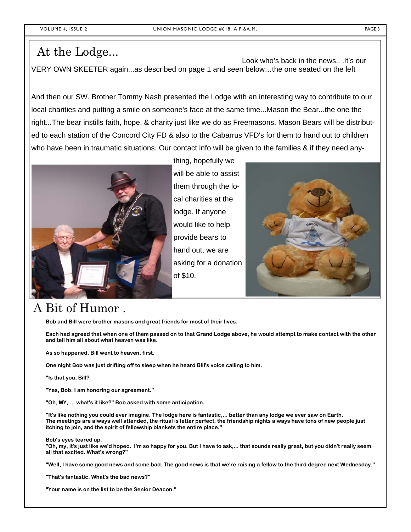### At the Lodge...

Look who's back in the news.. .It's our VERY OWN SKEETER again...as described on page 1 and seen below…the one seated on the left

And then our SW. Brother Tommy Nash presented the Lodge with an interesting way to contribute to our local charities and putting a smile on someone's face at the same time...Mason the Bear...the one the right...The bear instills faith, hope, & charity just like we do as Freemasons. Mason Bears will be distributed to each station of the Concord City FD & also to the Cabarrus VFD's for them to hand out to children who have been in traumatic situations. Our contact info will be given to the families & if they need any-



thing, hopefully we will be able to assist them through the local charities at the lodge. If anyone would like to help provide bears to hand out, we are asking for a donation of \$10.



### A Bit of Humor .

**Bob and Bill were brother masons and great friends for most of their lives.** 

**Each had agreed that when one of them passed on to that Grand Lodge above, he would attempt to make contact with the other and tell him all about what heaven was like.** 

**As so happened, Bill went to heaven, first.** 

**One night Bob was just drifting off to sleep when he heard Bill's voice calling to him.** 

**"Is that you, Bill?** 

**"Yes, Bob. I am honoring our agreement."** 

**"Oh, MY,.... what's it like?" Bob asked with some anticipation.** 

**"It's like nothing you could ever imagine. The lodge here is fantastic,... better than any lodge we ever saw on Earth. The meetings are always well attended, the ritual is letter perfect, the friendship nights always have tons of new people just itching to join, and the spirit of fellowship blankets the entire place."** 

#### **Bob's eyes teared up.**

**"Oh, my, it's just like we'd hoped. I'm so happy for you. But I have to ask,... that sounds really great, but you didn't really seem all that excited. What's wrong?"** 

**"Well, I have some good news and some bad. The good news is that we're raising a fellow to the third degree next Wednesday."** 

**"That's fantastic. What's the bad news?"** 

**"Your name is on the list to be the Senior Deacon."**